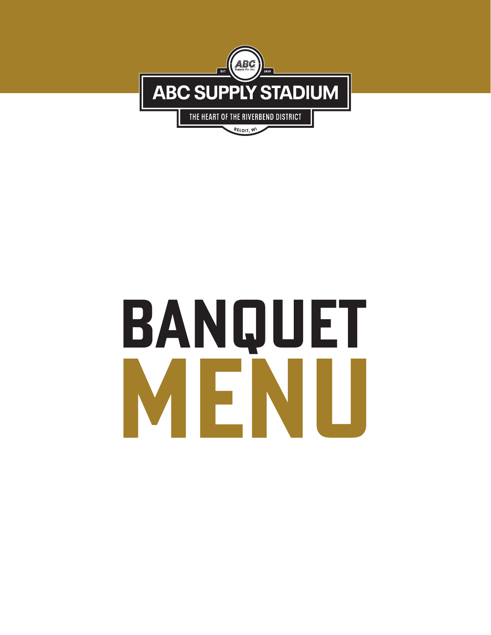

# BANQUET MENI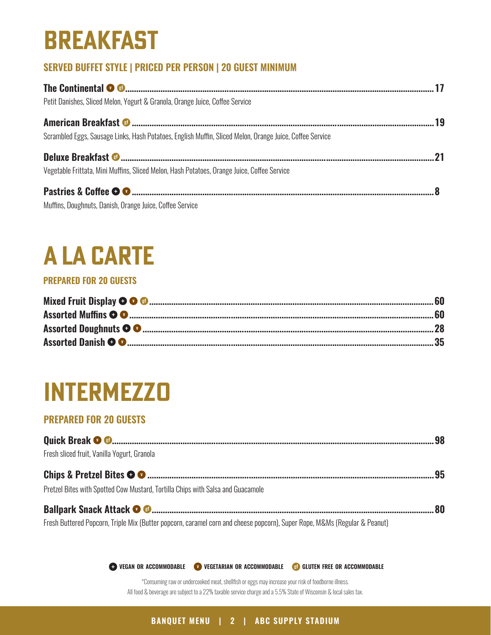### **BREAKFAST**

### **SERVED BUFFET STYLE | PRICED PER PERSON | 20 GUEST MINIMUM**

| Petit Danishes, Sliced Melon, Yogurt & Granola, Orange Juice, Coffee Service                             |  |
|----------------------------------------------------------------------------------------------------------|--|
| Scrambled Eggs, Sausage Links, Hash Potatoes, English Muffin, Sliced Melon, Orange Juice, Coffee Service |  |
| Vegetable Frittata, Mini Muffins, Sliced Melon, Hash Potatoes, Orange Juice, Coffee Service              |  |
| Muffins, Doughnuts, Danish, Orange Juice, Coffee Service                                                 |  |

### **A la Carte**

#### **PREPARED FOR 20 GUESTS**

### **Intermezzo**

#### **PREPARED FOR 20 GUESTS**

| Fresh sliced fruit, Vanilla Yogurt, Granola                                                                               |  |
|---------------------------------------------------------------------------------------------------------------------------|--|
|                                                                                                                           |  |
| Pretzel Bites with Spotted Cow Mustard, Tortilla Chips with Salsa and Guacamole                                           |  |
|                                                                                                                           |  |
| Fresh Buttered Popcorn, Triple Mix (Butter popcorn, caramel corn and cheese popcorn), Super Rope, M&Ms (Regular & Peanut) |  |

**vegan or accommodable vegetarian or accommodable gluten free or accommodable**

\*Consuming raw or undercooked meat, shellfish or eggs may increase your risk of foodborne illness. All food & beverage are subject to a 22% taxable service charge and a 5.5% State of Wisconsin & local sales tax.

**BANQUET MENU | 2 | ABC SUPPLY STADIUM**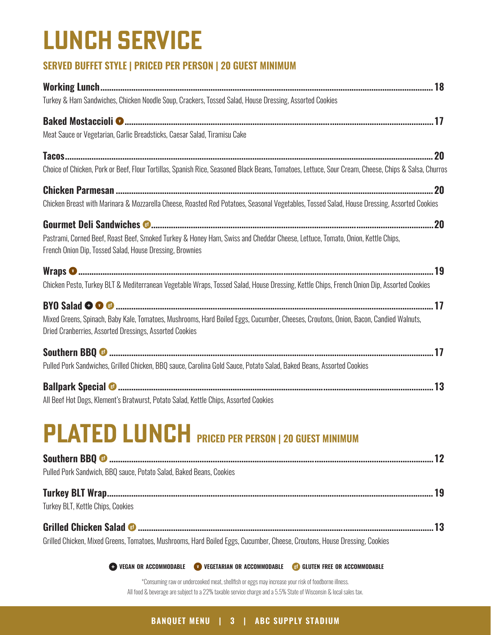### **lunch service**

#### **SERVED BUFFET STYLE | PRICED PER PERSON | 20 GUEST MINIMUM**

| Turkey & Ham Sandwiches, Chicken Noodle Soup, Crackers, Tossed Salad, House Dressing, Assorted Cookies                                                                                          |  |
|-------------------------------------------------------------------------------------------------------------------------------------------------------------------------------------------------|--|
|                                                                                                                                                                                                 |  |
| Meat Sauce or Vegetarian, Garlic Breadsticks, Caesar Salad, Tiramisu Cake                                                                                                                       |  |
|                                                                                                                                                                                                 |  |
| Choice of Chicken, Pork or Beef, Flour Tortillas, Spanish Rice, Seasoned Black Beans, Tomatoes, Lettuce, Sour Cream, Cheese, Chips & Salsa, Churros                                             |  |
|                                                                                                                                                                                                 |  |
| Chicken Breast with Marinara & Mozzarella Cheese, Roasted Red Potatoes, Seasonal Vegetables, Tossed Salad, House Dressing, Assorted Cookies                                                     |  |
|                                                                                                                                                                                                 |  |
| Pastrami, Corned Beef, Roast Beef, Smoked Turkey & Honey Ham, Swiss and Cheddar Cheese, Lettuce, Tomato, Onion, Kettle Chips,<br>French Onion Dip, Tossed Salad, House Dressing, Brownies       |  |
|                                                                                                                                                                                                 |  |
| Chicken Pesto, Turkey BLT & Mediterranean Vegetable Wraps, Tossed Salad, House Dressing, Kettle Chips, French Onion Dip, Assorted Cookies                                                       |  |
|                                                                                                                                                                                                 |  |
| Mixed Greens, Spinach, Baby Kale, Tomatoes, Mushrooms, Hard Boiled Eggs, Cucumber, Cheeses, Croutons, Onion, Bacon, Candied Walnuts,<br>Dried Cranberries, Assorted Dressings, Assorted Cookies |  |
|                                                                                                                                                                                                 |  |
| Pulled Pork Sandwiches, Grilled Chicken, BBQ sauce, Carolina Gold Sauce, Potato Salad, Baked Beans, Assorted Cookies                                                                            |  |
|                                                                                                                                                                                                 |  |
| All Beef Hot Dogs, Klement's Bratwurst, Potato Salad, Kettle Chips, Assorted Cookies                                                                                                            |  |
| $\mathsf{PLATED}\mathrel{\mathsf{LUNCH}}$ priced per person   20 Guest Minimum                                                                                                                  |  |
|                                                                                                                                                                                                 |  |
| Pulled Pork Sandwich, BBQ sauce, Potato Salad, Baked Beans, Cookies                                                                                                                             |  |
|                                                                                                                                                                                                 |  |
| Turkey BLT, Kettle Chips, Cookies                                                                                                                                                               |  |
|                                                                                                                                                                                                 |  |
| Grilled Chicken, Mixed Greens, Tomatoes, Mushrooms, Hard Boiled Eggs, Cucumber, Cheese, Croutons, House Dressing, Cookies                                                                       |  |

**vegan or accommodable vegetarian or accommodable gluten free or accommodable**

\*Consuming raw or undercooked meat, shellfish or eggs may increase your risk of foodborne illness. All food & beverage are subject to a 22% taxable service charge and a 5.5% State of Wisconsin & local sales tax.

#### **BANQUET MENU | 3 | ABC SUPPLY STADIUM**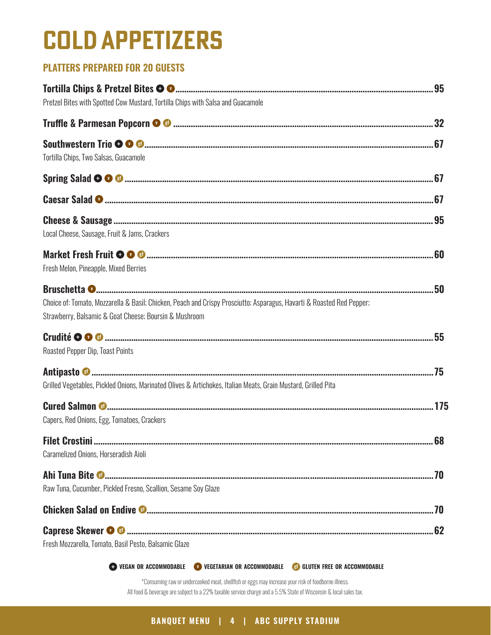### **cold appetizers**

#### **PLATTERS PREPARED FOR 20 GUESTS**

| Pretzel Bites with Spotted Cow Mustard, Tortilla Chips with Salsa and Guacamole                                                                                                 |  |
|---------------------------------------------------------------------------------------------------------------------------------------------------------------------------------|--|
|                                                                                                                                                                                 |  |
| Tortilla Chips, Two Salsas, Guacamole                                                                                                                                           |  |
|                                                                                                                                                                                 |  |
|                                                                                                                                                                                 |  |
| Local Cheese, Sausage, Fruit & Jams, Crackers                                                                                                                                   |  |
| Fresh Melon, Pineapple, Mixed Berries                                                                                                                                           |  |
| Choice of: Tomato, Mozzarella & Basil; Chicken, Peach and Crispy Prosciutto; Asparagus, Havarti & Roasted Red Pepper;<br>Strawberry, Balsamic & Goat Cheese; Boursin & Mushroom |  |
| Roasted Pepper Dip, Toast Points                                                                                                                                                |  |
| Grilled Vegetables, Pickled Onions, Marinated Olives & Artichokes, Italian Meats, Grain Mustard, Grilled Pita                                                                   |  |
| Capers, Red Onions, Egg, Tomatoes, Crackers                                                                                                                                     |  |
| Caramelized Onions, Horseradish Aioli                                                                                                                                           |  |
| Raw Tuna, Cucumber, Pickled Fresno, Scallion, Sesame Soy Glaze                                                                                                                  |  |
|                                                                                                                                                                                 |  |
| Fresh Mozzarella, Tomato, Basil Pesto, Balsamic Glaze                                                                                                                           |  |

**vegan or accommodable vegetarian or accommodable gluten free or accommodable**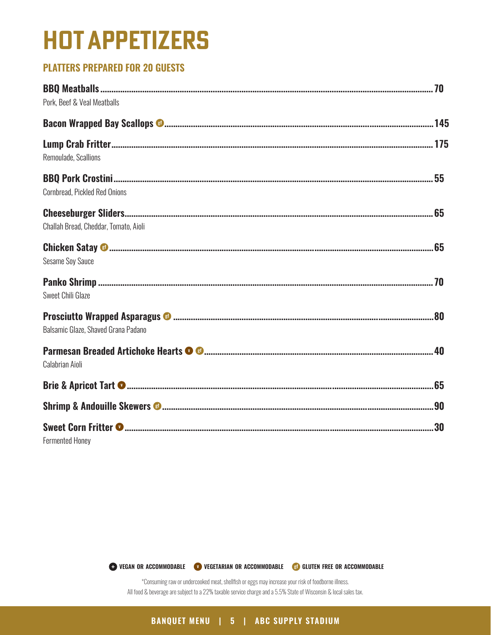### **hot appetizers**

#### **PLATTERS PREPARED FOR 20 GUESTS**

| Pork, Beef & Veal Meatballs           |  |
|---------------------------------------|--|
|                                       |  |
| Remoulade, Scallions                  |  |
| Cornbread, Pickled Red Onions         |  |
| Challah Bread, Cheddar, Tomato, Aioli |  |
| <b>Sesame Soy Sauce</b>               |  |
| Sweet Chili Glaze                     |  |
| Balsamic Glaze, Shaved Grana Padano   |  |
| Calabrian Aioli                       |  |
|                                       |  |
|                                       |  |
| <b>Fermented Honey</b>                |  |

**vegan or accommodable vegetarian or accommodable gluten free or accommodable**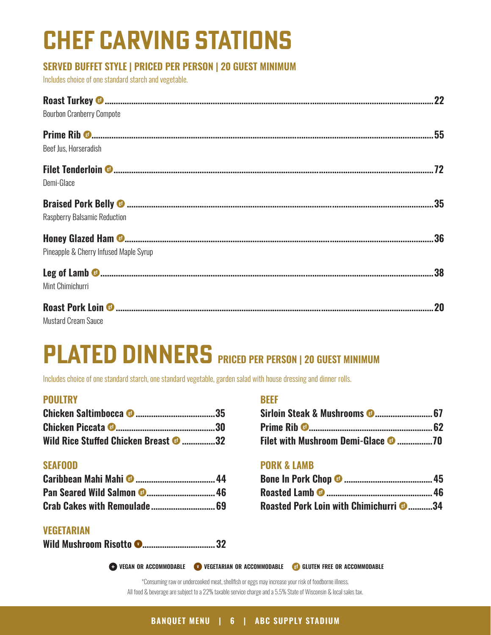## **Chef carving stations**

#### **SERVED BUFFET STYLE | PRICED PER PERSON | 20 GUEST MINIMUM**

Includes choice of one standard starch and vegetable.

| <b>Bourbon Cranberry Compote</b>       |  |
|----------------------------------------|--|
|                                        |  |
| Beef Jus, Horseradish                  |  |
|                                        |  |
| Demi-Glace                             |  |
|                                        |  |
| <b>Raspberry Balsamic Reduction</b>    |  |
|                                        |  |
| Pineapple & Cherry Infused Maple Syrup |  |
|                                        |  |
| Mint Chimichurri                       |  |
|                                        |  |
| <b>Mustard Cream Sauce</b>             |  |

### **PLATED DINNERS PRICED PER PERSON | 20 GUEST MINIMUM**

Includes choice of one standard starch, one standard vegetable, garden salad with house dressing and dinner rolls.

#### **POULTRY**

| Wild Rice Stuffed Chicken Breast <sup>3</sup> 32 |  |
|--------------------------------------------------|--|

#### **SEAFOOD**

#### **VEGETARIAN**

|--|--|--|--|--|

#### **BEEF**

| <b>Filet with Mushroom Demi-Glace © 70</b> |  |
|--------------------------------------------|--|

#### **PORK & LAMB**

| Roasted Pork Loin with Chimichurri © 34 |  |
|-----------------------------------------|--|

**vegan or accommodable vegetarian or accommodable gluten free or accommodable**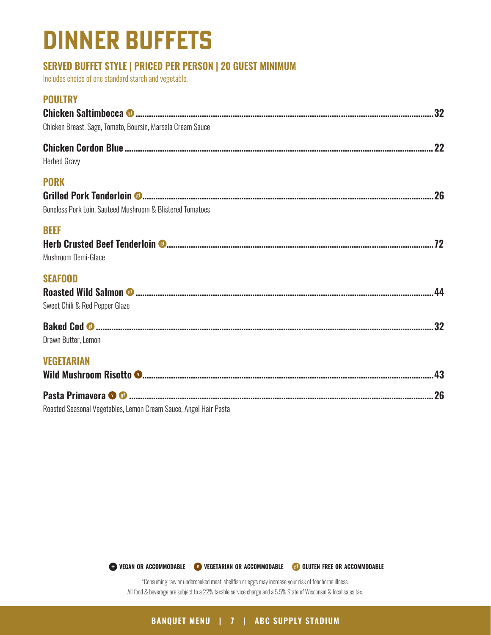### **Dinner buffets**

#### **SERVED BUFFET STYLE | PRICED PER PERSON | 20 GUEST MINIMUM**

Includes choice of one standard starch and vegetable.

| <b>POULTRY</b>                                                           |  |
|--------------------------------------------------------------------------|--|
| Chicken Breast, Sage, Tomato, Boursin, Marsala Cream Sauce               |  |
| <b>Herbed Gravy</b>                                                      |  |
| <b>PORK</b><br>Boneless Pork Loin, Sauteed Mushroom & Blistered Tomatoes |  |
| <b>BEEF</b><br>Mushroom Demi-Glace                                       |  |
| <b>SEAFOOD</b><br>Sweet Chili & Red Pepper Glaze                         |  |
| Drawn Butter, Lemon                                                      |  |
| <b>VEGETARIAN</b>                                                        |  |
| Roasted Seasonal Vegetables, Lemon Cream Sauce, Angel Hair Pasta         |  |

**vegan or accommodable vegetarian or accommodable gluten free or accommodable**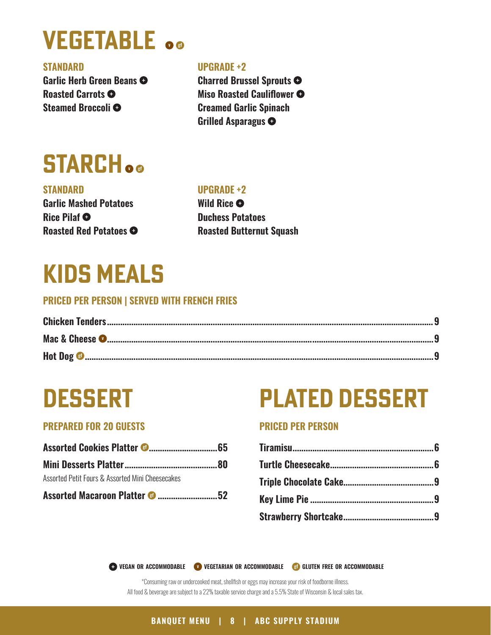### **Vegetable**

#### **STANDARD**

**Garlic Herb Green Beans Roasted Carrots Steamed Broccoli** 

#### **UPGRADE +2**

**Charred Brussel Sprouts Miso Roasted Cauliflower Creamed Garlic Spinach Grilled Asparagus** 

### **Starch**

#### **STANDARD Garlic Mashed Potatoes Rice Pilaf Roasted Red Potatoes**

#### **UPGRADE +2**

**Wild Rice Duchess Potatoes Roasted Butternut Squash**

### **Kids meals**

#### **PRICED PER PERSON | SERVED WITH FRENCH FRIES**

#### **PREPARED FOR 20 GUESTS**

| Assorted Petit Fours & Assorted Mini Cheesecakes |  |
|--------------------------------------------------|--|
| Assorted Macaroon Platter <sup>@</sup> 52        |  |

### **Dessert Plated Dessert**

#### **PRICED PER PERSON**

**vegan or accommodable vegetarian or accommodable gluten free or accommodable**